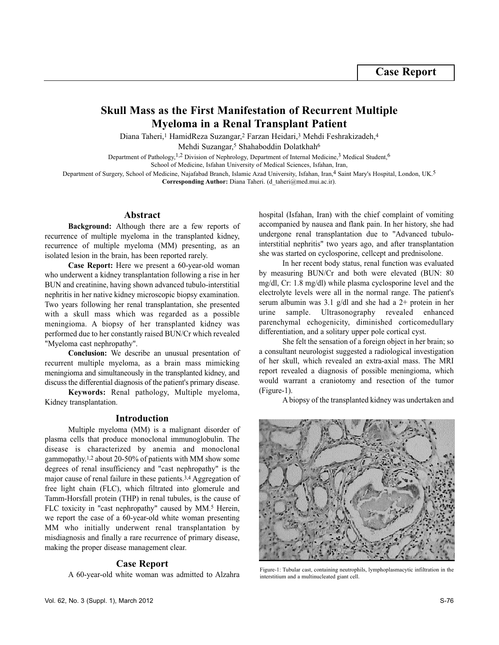# **Skull Mass as the First Manifestation of Recurrent Multiple Myeloma in a Renal Transplant Patient**

Diana Taheri,<sup>1</sup> HamidReza Suzangar,<sup>2</sup> Farzan Heidari,<sup>3</sup> Mehdi Feshrakizadeh,<sup>4</sup> Mehdi Suzangar,<sup>5</sup> Shahaboddin Dolatkhah<sup>6</sup>

Department of Pathology,<sup>1,2</sup> Division of Nephrology, Department of Internal Medicine,<sup>3</sup> Medical Student,<sup>6</sup>

School of Medicine, Isfahan University of Medical Sciences, Isfahan, Iran,

Department of Surgery, School of Medicine, Najafabad Branch, Islamic Azad University, Isfahan, Iran,<sup>4</sup> Saint Mary's Hospital, London, UK.<sup>5</sup> **Corresponding Author:** Diana Taheri. (d\_taheri@med.mui.ac.ir).

## **Abstract**

**Background:** Although there are a few reports of recurrence of multiple myeloma in the transplanted kidney, recurrence of multiple myeloma (MM) presenting, as an isolated lesion in the brain, has been reported rarely.

**Case Report:** Here we present a 60-year-old woman who underwent a kidney transplantation following a rise in her BUN and creatinine, having shown advanced tubulo-interstitial nephritis in her native kidney microscopic biopsy examination. Two years following her renal transplantation, she presented with a skull mass which was regarded as a possible meningioma. A biopsy of her transplanted kidney was performed due to her constantly raised BUN/Cr which revealed "Myeloma cast nephropathy".

**Conclusion:** We describe an unusual presentation of recurrent multiple myeloma, as a brain mass mimicking meningioma and simultaneously in the transplanted kidney, and discuss the differential diagnosis of the patient's primary disease.

**Keywords:** Renal pathology, Multiple myeloma, Kidney transplantation.

## **Introduction**

Multiple myeloma (MM) is a malignant disorder of plasma cells that produce monoclonal immunoglobulin. The disease is characterized by anemia and monoclonal gammopathy.1,2 about 20-50% of patients with MM show some degrees of renal insufficiency and "cast nephropathy" is the major cause of renal failure in these patients.3,4 Aggregation of free light chain (FLC), which filtrated into glomerule and Tamm-Horsfall protein (THP) in renal tubules, is the cause of FLC toxicity in "cast nephropathy" caused by MM.<sup>5</sup> Herein, we report the case of a 60-year-old white woman presenting MM who initially underwent renal transplantation by misdiagnosis and finally a rare recurrence of primary disease, making the proper disease management clear.

### **Case Report**

A 60-year-old white woman was admitted to Alzahra

hospital (Isfahan, Iran) with the chief complaint of vomiting accompanied by nausea and flank pain. In her history, she had undergone renal transplantation due to "Advanced tubulointerstitial nephritis" two years ago, and after transplantation she was started on cyclosporine, cellcept and prednisolone.

In her recent body status, renal function was evaluated by measuring BUN/Cr and both were elevated (BUN: 80 mg/dl, Cr: 1.8 mg/dl) while plasma cyclosporine level and the electrolyte levels were all in the normal range. The patient's serum albumin was 3.1 g/dl and she had a 2+ protein in her urine sample. Ultrasonography revealed enhanced parenchymal echogenicity, diminished corticomedullary differentiation, and a solitary upper pole cortical cyst.

She felt the sensation of a foreign object in her brain; so a consultant neurologist suggested a radiological investigation of her skull, which revealed an extra-axial mass. The MRI report revealed a diagnosis of possible meningioma, which would warrant a craniotomy and resection of the tumor (Figure-1).

A biopsy of the transplanted kidney was undertaken and



Figure-1: Tubular cast, containing neutrophils, lymphoplasmacytic infiltration in the interstitium and a multinucleated giant cell.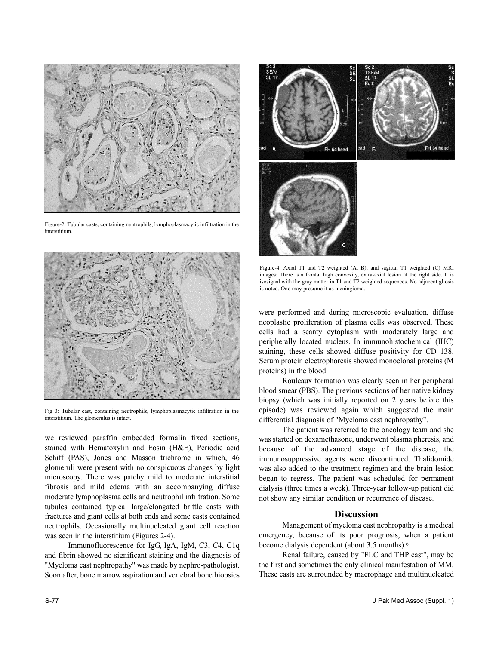

Figure-2: Tubular casts, containing neutrophils, lymphoplasmacytic infiltration in the interstitium.



Fig 3: Tubular cast, containing neutrophils, lymphoplasmacytic infiltration in the interstitium. The glomerulus is intact.

we reviewed paraffin embedded formalin fixed sections, stained with Hematoxylin and Eosin (H&E), Periodic acid Schiff (PAS), Jones and Masson trichrome in which, 46 glomeruli were present with no conspicuous changes by light microscopy. There was patchy mild to moderate interstitial fibrosis and mild edema with an accompanying diffuse moderate lymphoplasma cells and neutrophil infiltration. Some tubules contained typical large/elongated brittle casts with fractures and giant cells at both ends and some casts contained neutrophils. Occasionally multinucleated giant cell reaction was seen in the interstitium (Figures 2-4).

Immunofluorescence for IgG, IgA, IgM, C3, C4, C1q and fibrin showed no significant staining and the diagnosis of "Myeloma cast nephropathy" was made by nephro-pathologist. Soon after, bone marrow aspiration and vertebral bone biopsies



Figure-4: Axial T1 and T2 weighted (A, B), and sagittal T1 weighted (C) MRI images: There is a frontal high convexity, extra-axial lesion at the right side. It is isosignal with the gray matter in T1 and T2 weighted sequences. No adjacent gliosis is noted. One may presume it as meningioma.

were performed and during microscopic evaluation, diffuse neoplastic proliferation of plasma cells was observed. These cells had a scanty cytoplasm with moderately large and peripherally located nucleus. In immunohistochemical (IHC) staining, these cells showed diffuse positivity for CD 138. Serum protein electrophoresis showed monoclonal proteins (M proteins) in the blood.

Rouleaux formation was clearly seen in her peripheral blood smear (PBS). The previous sections of her native kidney biopsy (which was initially reported on 2 years before this episode) was reviewed again which suggested the main differential diagnosis of "Myeloma cast nephropathy".

The patient was referred to the oncology team and she was started on dexamethasone, underwent plasma pheresis, and because of the advanced stage of the disease, the immunosuppressive agents were discontinued. Thalidomide was also added to the treatment regimen and the brain lesion began to regress. The patient was scheduled for permanent dialysis (three times a week). Three-year follow-up patient did not show any similar condition or recurrence of disease.

## **Discussion**

Management of myeloma cast nephropathy is a medical emergency, because of its poor prognosis, when a patient become dialysis dependent (about 3.5 months).<sup>6</sup>

Renal failure, caused by "FLC and THP cast", may be the first and sometimes the only clinical manifestation of MM. These casts are surrounded by macrophage and multinucleated